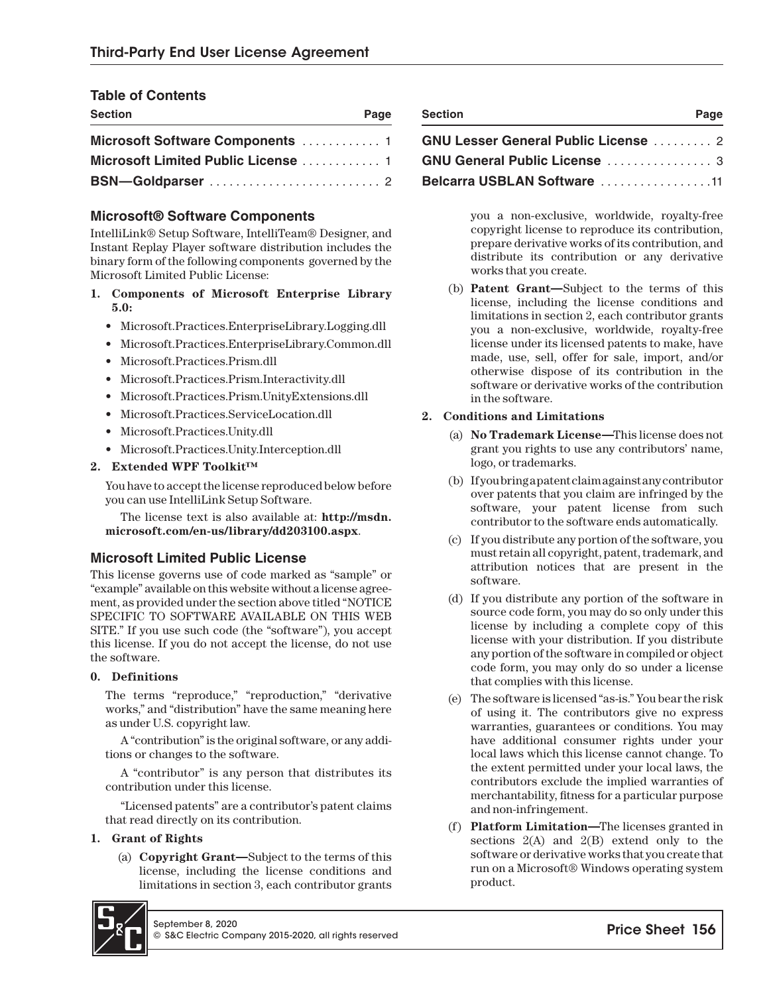# **Table of Contents**

| <b>Section</b> | Page | <b>Section</b>                             | Page |
|----------------|------|--------------------------------------------|------|
|                |      | <b>GNU Lesser General Public License</b> 2 |      |
|                |      | <b>GNU General Public License  3</b>       |      |
|                |      | <b>Belcarra USBLAN Software</b> 11         |      |

# **Microsoft® Software Components**

IntelliLink® Setup Software, IntelliTeam® Designer, and Instant Replay Player software distribution includes the binary form of the following components governed by the Microsoft Limited Public License:

- **1. Components of Microsoft Enterprise Library 5.0:**
	- Microsoft.Practices.EnterpriseLibrary.Logging.dll
	- Microsoft.Practices.EnterpriseLibrary.Common.dll
	- Microsoft.Practices.Prism.dll
	- Microsoft.Practices.Prism.Interactivity.dll
	- Microsoft.Practices.Prism.UnityExtensions.dll
	- Microsoft.Practices.ServiceLocation.dll
	- Microsoft.Practices.Unity.dll
	- Microsoft.Practices.Unity.Interception.dll

# **2. Extended WPF Toolkit™**

You have to accept the license reproduced below before you can use IntelliLink Setup Software.

The license text is also available at: **http://msdn. microsoft.com/en-us/library/dd203100.aspx**.

# **Microsoft Limited Public License**

This license governs use of code marked as "sample" or "example" available on this website without a license agreement, as provided under the section above titled "NOTICE SPECIFIC TO SOFTWARE AVAILABLE ON THIS WEB SITE." If you use such code (the "software"), you accept this license. If you do not accept the license, do not use the software.

## **0. Definitions**

The terms "reproduce," "reproduction," "derivative works," and "distribution" have the same meaning here as under U.S. copyright law.

A "contribution" is the original software, or any additions or changes to the software.

A "contributor" is any person that distributes its contribution under this license.

"Licensed patents" are a contributor's patent claims that read directly on its contribution.

## **1. Grant of Rights**

(a) **Copyright Grant—**Subject to the terms of this license, including the license conditions and limitations in section 3, each contributor grants



| <b>Section</b>                             | Page |
|--------------------------------------------|------|
| <b>GNU Lesser General Public License</b> 2 |      |
| GNU General Public License  3              |      |

# **Belcarra USBLAN Software** ................ .11

you a non-exclusive, worldwide, royalty-free copyright license to reproduce its contribution, prepare derivative works of its contribution, and distribute its contribution or any derivative works that you create.

(b) **Patent Grant—**Subject to the terms of this license, including the license conditions and limitations in section 2, each contributor grants you a non-exclusive, worldwide, royalty-free license under its licensed patents to make, have made, use, sell, offer for sale, import, and/or otherwise dispose of its contribution in the software or derivative works of the contribution in the software.

## **2. Conditions and Limitations**

- (a) **No Trademark License—**This license does not grant you rights to use any contributors' name, logo, or trademarks.
- (b) If you bring a patent claim against any contributor over patents that you claim are infringed by the software, your patent license from such contributor to the software ends automatically.
- (c) If you distribute any portion of the software, you must retain all copyright, patent, trademark, and attribution notices that are present in the software.
- (d) If you distribute any portion of the software in source code form, you may do so only under this license by including a complete copy of this license with your distribution. If you distribute any portion of the software in compiled or object code form, you may only do so under a license that complies with this license.
- (e) The software is licensed "as-is." You bear the risk of using it. The contributors give no express warranties, guarantees or conditions. You may have additional consumer rights under your local laws which this license cannot change. To the extent permitted under your local laws, the contributors exclude the implied warranties of merchantability, fitness for a particular purpose and non-infringement.
- (f) **Platform Limitation—**The licenses granted in sections  $2(A)$  and  $2(B)$  extend only to the software or derivative works that you create that run on a Microsoft® Windows operating system product.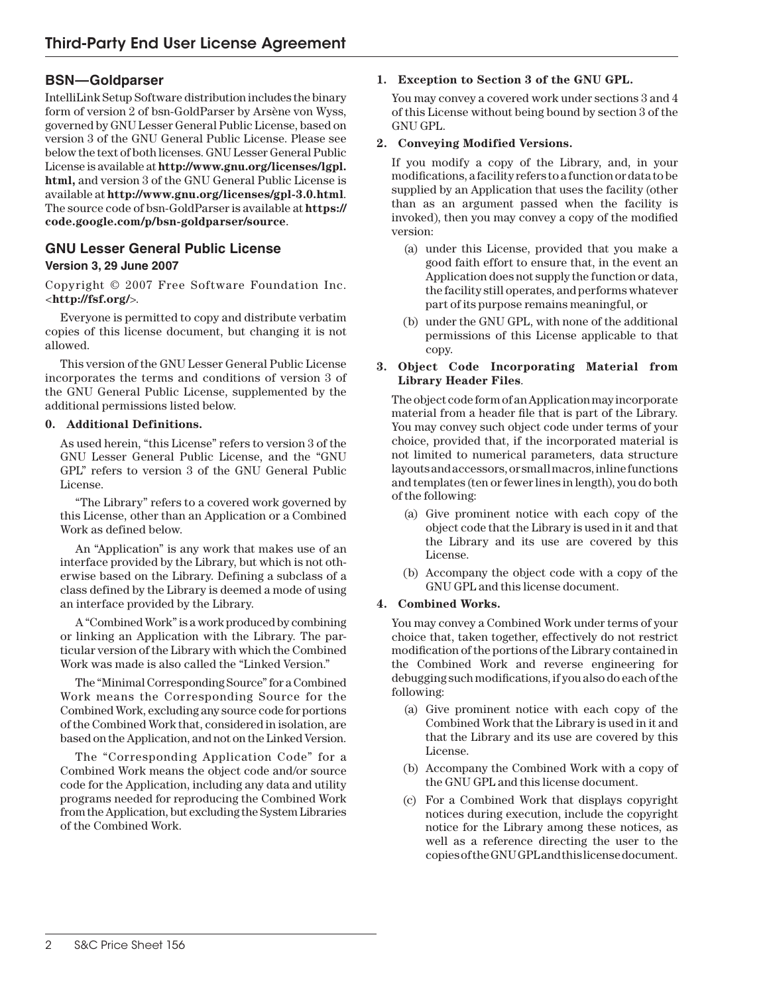# **BSN—Goldparser**

IntelliLink Setup Software distribution includes the binary form of version 2 of bsn-GoldParser by Arsène von Wyss, governed by GNU Lesser General Public License, based on version 3 of the GNU General Public License. Please see below the text of both licenses. GNU Lesser General Public License is available at **http://www.gnu.org/licenses/lgpl. html,** and version 3 of the GNU General Public License is available at **http://www.gnu.org/licenses/gpl-3.0.html**. The source code of bsn-GoldParser is available at **https:// code.google.com/p/bsn-goldparser/source**.

# **GNU Lesser General Public License**

# **Version 3, 29 June 2007**

Copyright © 2007 Free Software Foundation Inc. <**http://fsf.org/**>.

Everyone is permitted to copy and distribute verbatim copies of this license document, but changing it is not allowed.

This version of the GNU Lesser General Public License incorporates the terms and conditions of version 3 of the GNU General Public License, supplemented by the additional permissions listed below.

## **0. Additional Definitions.**

As used herein, "this License" refers to version 3 of the GNU Lesser General Public License, and the "GNU GPL" refers to version 3 of the GNU General Public License.

"The Library" refers to a covered work governed by this License, other than an Application or a Combined Work as defined below.

An "Application" is any work that makes use of an interface provided by the Library, but which is not otherwise based on the Library. Defining a subclass of a class defined by the Library is deemed a mode of using an interface provided by the Library.

A "Combined Work" is a work produced by combining or linking an Application with the Library. The particular version of the Library with which the Combined Work was made is also called the "Linked Version."

The "Minimal Corresponding Source" for a Combined Work means the Corresponding Source for the Combined Work, excluding any source code for portions of the Combined Work that, considered in isolation, are based on the Application, and not on the Linked Version.

The "Corresponding Application Code" for a Combined Work means the object code and/or source code for the Application, including any data and utility programs needed for reproducing the Combined Work from the Application, but excluding the System Libraries of the Combined Work.

## **1. Exception to Section 3 of the GNU GPL.**

You may convey a covered work under sections 3 and 4 of this License without being bound by section 3 of the GNU GPL.

## **2. Conveying Modified Versions.**

If you modify a copy of the Library, and, in your modifications, a facility refers to a function or data to be supplied by an Application that uses the facility (other than as an argument passed when the facility is invoked), then you may convey a copy of the modified version:

- (a) under this License, provided that you make a good faith effort to ensure that, in the event an Application does not supply the function or data, the facility still operates, and performs whatever part of its purpose remains meaningful, or
- (b) under the GNU GPL, with none of the additional permissions of this License applicable to that copy.

## **3. Object Code Incorporating Material from Library Header Files**.

The object code form of an Application may incorporate material from a header file that is part of the Library. You may convey such object code under terms of your choice, provided that, if the incorporated material is not limited to numerical parameters, data structure layouts and accessors, or small macros, inline functions and templates (ten or fewer lines in length), you do both of the following:

- (a) Give prominent notice with each copy of the object code that the Library is used in it and that the Library and its use are covered by this License.
- (b) Accompany the object code with a copy of the GNU GPL and this license document.

## **4. Combined Works.**

You may convey a Combined Work under terms of your choice that, taken together, effectively do not restrict modification of the portions of the Library contained in the Combined Work and reverse engineering for debugging such modifications, if you also do each of the following:

- (a) Give prominent notice with each copy of the Combined Work that the Library is used in it and that the Library and its use are covered by this License.
- (b) Accompany the Combined Work with a copy of the GNU GPL and this license document.
- (c) For a Combined Work that displays copyright notices during execution, include the copyright notice for the Library among these notices, as well as a reference directing the user to the copies of the GNU GPL and this license document.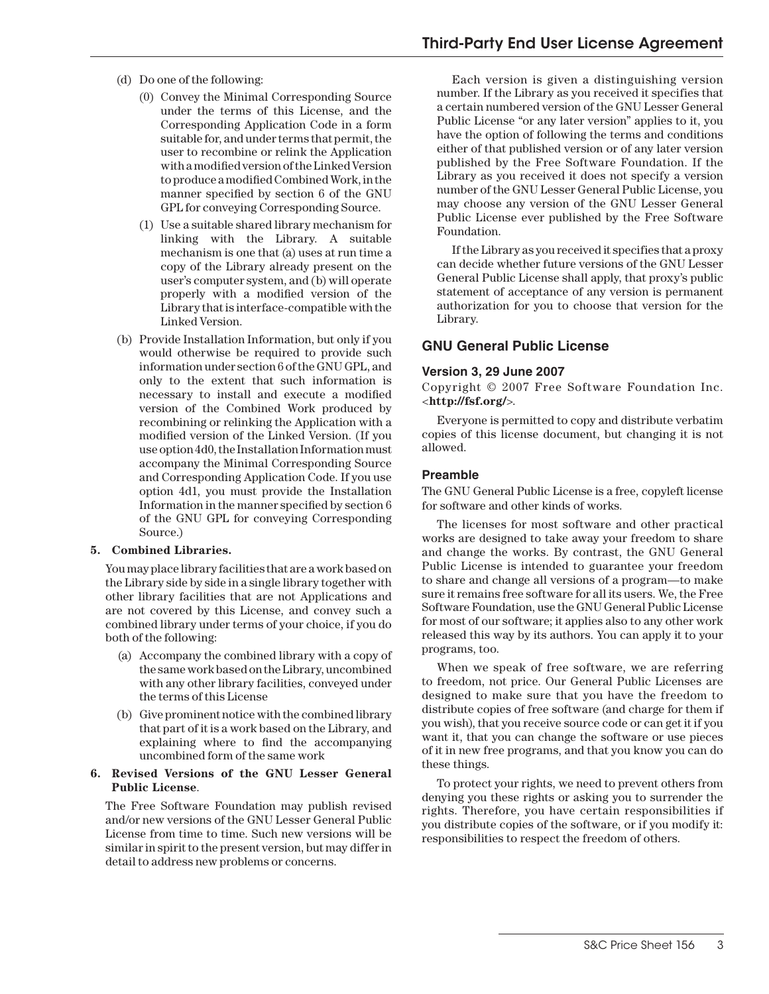- (d) Do one of the following:
	- (0) Convey the Minimal Corresponding Source under the terms of this License, and the Corresponding Application Code in a form suitable for, and under terms that permit, the user to recombine or relink the Application with a modified version of the Linked Version to produce a modified Combined Work, in the manner specified by section 6 of the GNU GPL for conveying Corresponding Source.
	- (1) Use a suitable shared library mechanism for linking with the Library. A suitable mechanism is one that (a) uses at run time a copy of the Library already present on the user's computer system, and (b) will operate properly with a modified version of the Library that is interface-compatible with the Linked Version.
- (b) Provide Installation Information, but only if you would otherwise be required to provide such information under section 6 of the GNU GPL, and only to the extent that such information is necessary to install and execute a modied version of the Combined Work produced by recombining or relinking the Application with a modified version of the Linked Version. (If you use option 4d0, the Installation Information must accompany the Minimal Corresponding Source and Corresponding Application Code. If you use option 4d1, you must provide the Installation Information in the manner specified by section  $6$ of the GNU GPL for conveying Corresponding Source.)

#### **5. Combined Libraries.**

You may place library facilities that are a work based on the Library side by side in a single library together with other library facilities that are not Applications and are not covered by this License, and convey such a combined library under terms of your choice, if you do both of the following:

- (a) Accompany the combined library with a copy of the same work based on the Library, uncombined with any other library facilities, conveyed under the terms of this License
- (b) Give prominent notice with the combined library that part of it is a work based on the Library, and explaining where to find the accompanying uncombined form of the same work

#### **6. Revised Versions of the GNU Lesser General Public License**.

The Free Software Foundation may publish revised and/or new versions of the GNU Lesser General Public License from time to time. Such new versions will be similar in spirit to the present version, but may differ in detail to address new problems or concerns.

Each version is given a distinguishing version number. If the Library as you received it specifies that a certain numbered version of the GNU Lesser General Public License "or any later version" applies to it, you have the option of following the terms and conditions either of that published version or of any later version published by the Free Software Foundation. If the Library as you received it does not specify a version number of the GNU Lesser General Public License, you may choose any version of the GNU Lesser General Public License ever published by the Free Software Foundation.

If the Library as you received it specifies that a proxy can decide whether future versions of the GNU Lesser General Public License shall apply, that proxy's public statement of acceptance of any version is permanent authorization for you to choose that version for the Library.

## **GNU General Public License**

#### **Version 3, 29 June 2007**

Copyright © 2007 Free Software Foundation Inc. <**http://fsf.org/**>.

Everyone is permitted to copy and distribute verbatim copies of this license document, but changing it is not allowed.

#### **Preamble**

The GNU General Public License is a free, copyleft license for software and other kinds of works.

The licenses for most software and other practical works are designed to take away your freedom to share and change the works. By contrast, the GNU General Public License is intended to guarantee your freedom to share and change all versions of a program—to make sure it remains free software for all its users. We, the Free Software Foundation, use the GNU General Public License for most of our software; it applies also to any other work released this way by its authors. You can apply it to your programs, too.

When we speak of free software, we are referring to freedom, not price. Our General Public Licenses are designed to make sure that you have the freedom to distribute copies of free software (and charge for them if you wish), that you receive source code or can get it if you want it, that you can change the software or use pieces of it in new free programs, and that you know you can do these things.

To protect your rights, we need to prevent others from denying you these rights or asking you to surrender the rights. Therefore, you have certain responsibilities if you distribute copies of the software, or if you modify it: responsibilities to respect the freedom of others.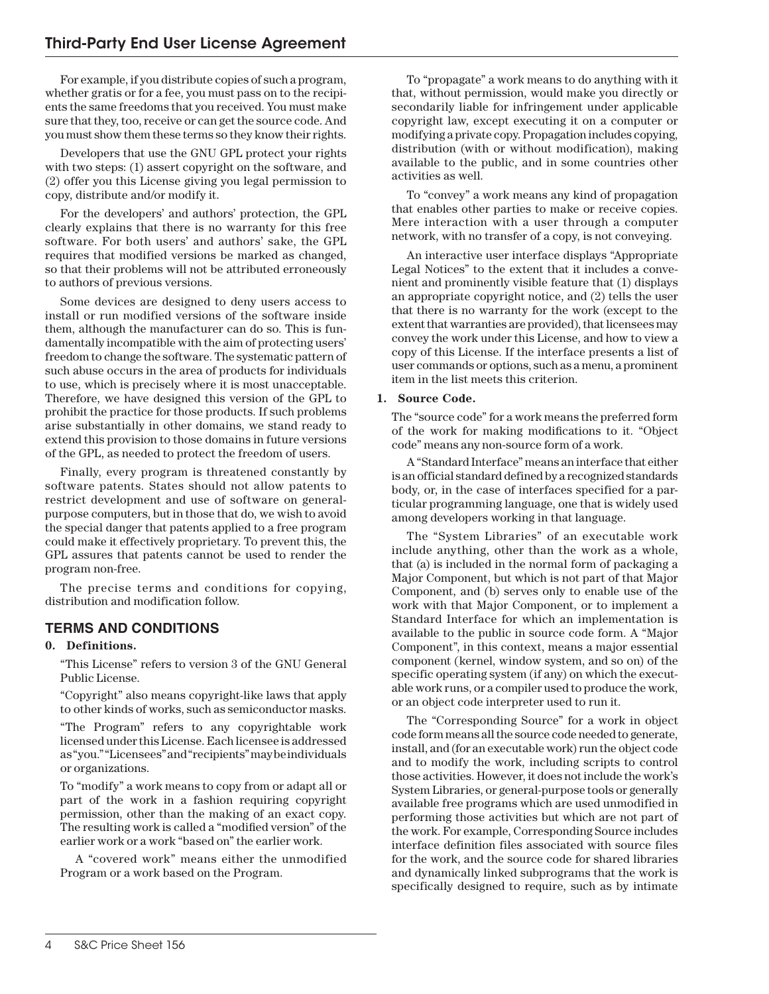For example, if you distribute copies of such a program, whether gratis or for a fee, you must pass on to the recipients the same freedoms that you received. You must make sure that they, too, receive or can get the source code. And you must show them these terms so they know their rights.

Developers that use the GNU GPL protect your rights with two steps: (1) assert copyright on the software, and (2) offer you this License giving you legal permission to copy, distribute and/or modify it.

For the developers' and authors' protection, the GPL clearly explains that there is no warranty for this free software. For both users' and authors' sake, the GPL requires that modified versions be marked as changed, so that their problems will not be attributed erroneously to authors of previous versions.

Some devices are designed to deny users access to install or run modified versions of the software inside them, although the manufacturer can do so. This is fundamentally incompatible with the aim of protecting users' freedom to change the software. The systematic pattern of such abuse occurs in the area of products for individuals to use, which is precisely where it is most unacceptable. Therefore, we have designed this version of the GPL to prohibit the practice for those products. If such problems arise substantially in other domains, we stand ready to extend this provision to those domains in future versions of the GPL, as needed to protect the freedom of users.

Finally, every program is threatened constantly by software patents. States should not allow patents to restrict development and use of software on generalpurpose computers, but in those that do, we wish to avoid the special danger that patents applied to a free program could make it effectively proprietary. To prevent this, the GPL assures that patents cannot be used to render the program non-free.

The precise terms and conditions for copying, distribution and modification follow.

# **TERMS AND CONDITIONS**

## **0. Definitions.**

"This License" refers to version 3 of the GNU General Public License.

"Copyright" also means copyright-like laws that apply to other kinds of works, such as semiconductor masks.

"The Program" refers to any copyrightable work licensed under this License. Each licensee is addressed as "you." "Licensees" and "recipients" may be individuals or organizations.

To "modify" a work means to copy from or adapt all or part of the work in a fashion requiring copyright permission, other than the making of an exact copy. The resulting work is called a "modified version" of the earlier work or a work "based on" the earlier work.

A "covered work" means either the unmodified Program or a work based on the Program.

To "propagate" a work means to do anything with it that, without permission, would make you directly or secondarily liable for infringement under applicable copyright law, except executing it on a computer or modifying a private copy. Propagation includes copying, distribution (with or without modification), making available to the public, and in some countries other activities as well.

To "convey" a work means any kind of propagation that enables other parties to make or receive copies. Mere interaction with a user through a computer network, with no transfer of a copy, is not conveying.

An interactive user interface displays "Appropriate Legal Notices" to the extent that it includes a convenient and prominently visible feature that (1) displays an appropriate copyright notice, and (2) tells the user that there is no warranty for the work (except to the extent that warranties are provided), that licensees may convey the work under this License, and how to view a copy of this License. If the interface presents a list of user commands or options, such as a menu, a prominent item in the list meets this criterion.

#### **1. Source Code.**

The "source code" for a work means the preferred form of the work for making modifications to it. "Object" code" means any non-source form of a work.

A "Standard Interface" means an interface that either is an official standard defined by a recognized standards body, or, in the case of interfaces specified for a particular programming language, one that is widely used among developers working in that language.

The "System Libraries" of an executable work include anything, other than the work as a whole, that (a) is included in the normal form of packaging a Major Component, but which is not part of that Major Component, and (b) serves only to enable use of the work with that Major Component, or to implement a Standard Interface for which an implementation is available to the public in source code form. A "Major Component", in this context, means a major essential component (kernel, window system, and so on) of the specific operating system (if any) on which the executable work runs, or a compiler used to produce the work, or an object code interpreter used to run it.

The "Corresponding Source" for a work in object code form means all the source code needed to generate, install, and (for an executable work) run the object code and to modify the work, including scripts to control those activities. However, it does not include the work's System Libraries, or general-purpose tools or generally available free programs which are used unmodified in performing those activities but which are not part of the work. For example, Corresponding Source includes interface definition files associated with source files for the work, and the source code for shared libraries and dynamically linked subprograms that the work is specifically designed to require, such as by intimate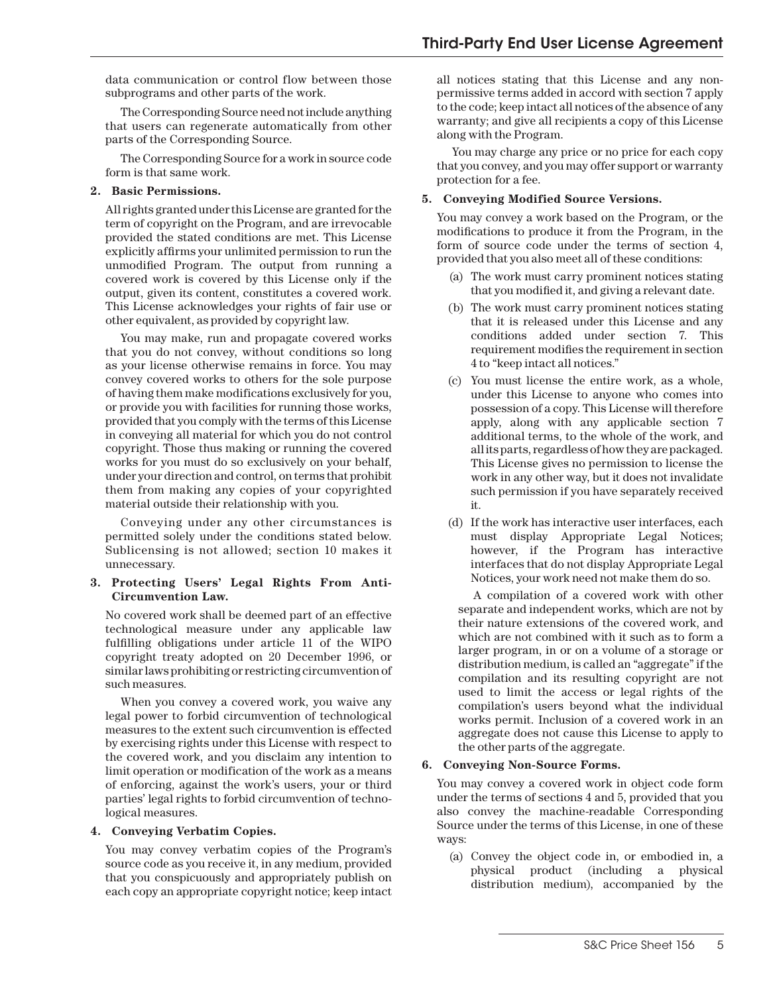data communication or control flow between those subprograms and other parts of the work.

The Corresponding Source need not include anything that users can regenerate automatically from other parts of the Corresponding Source.

The Corresponding Source for a work in source code form is that same work.

#### **2. Basic Permissions.**

All rights granted under this License are granted for the term of copyright on the Program, and are irrevocable provided the stated conditions are met. This License explicitly affirms your unlimited permission to run the unmodified Program. The output from running a covered work is covered by this License only if the output, given its content, constitutes a covered work. This License acknowledges your rights of fair use or other equivalent, as provided by copyright law.

You may make, run and propagate covered works that you do not convey, without conditions so long as your license otherwise remains in force. You may convey covered works to others for the sole purpose of having them make modifications exclusively for you, or provide you with facilities for running those works, provided that you comply with the terms of this License in conveying all material for which you do not control copyright. Those thus making or running the covered works for you must do so exclusively on your behalf, under your direction and control, on terms that prohibit them from making any copies of your copyrighted material outside their relationship with you.

Conveying under any other circumstances is permitted solely under the conditions stated below. Sublicensing is not allowed; section 10 makes it unnecessary.

#### **3. Protecting Users' Legal Rights From Anti-Circumvention Law.**

No covered work shall be deemed part of an effective technological measure under any applicable law fullling obligations under article 11 of the WIPO copyright treaty adopted on 20 December 1996, or similar laws prohibiting or restricting circumvention of such measures.

When you convey a covered work, you waive any legal power to forbid circumvention of technological measures to the extent such circumvention is effected by exercising rights under this License with respect to the covered work, and you disclaim any intention to limit operation or modification of the work as a means of enforcing, against the work's users, your or third parties' legal rights to forbid circumvention of technological measures.

## **4. Conveying Verbatim Copies.**

You may convey verbatim copies of the Program's source code as you receive it, in any medium, provided that you conspicuously and appropriately publish on each copy an appropriate copyright notice; keep intact

all notices stating that this License and any nonpermissive terms added in accord with section 7 apply to the code; keep intact all notices of the absence of any warranty; and give all recipients a copy of this License along with the Program.

You may charge any price or no price for each copy that you convey, and you may offer support or warranty protection for a fee.

#### **5. Conveying Modified Source Versions.**

You may convey a work based on the Program, or the modifications to produce it from the Program, in the form of source code under the terms of section 4, provided that you also meet all of these conditions:

- (a) The work must carry prominent notices stating that you modified it, and giving a relevant date.
- (b) The work must carry prominent notices stating that it is released under this License and any conditions added under section 7. This requirement modifies the requirement in section 4 to "keep intact all notices."
- (c) You must license the entire work, as a whole, under this License to anyone who comes into possession of a copy. This License will therefore apply, along with any applicable section 7 additional terms, to the whole of the work, and all its parts, regardless of how they are packaged. This License gives no permission to license the work in any other way, but it does not invalidate such permission if you have separately received it.
- (d) If the work has interactive user interfaces, each must display Appropriate Legal Notices; however, if the Program has interactive interfaces that do not display Appropriate Legal Notices, your work need not make them do so.

A compilation of a covered work with other separate and independent works, which are not by their nature extensions of the covered work, and which are not combined with it such as to form a larger program, in or on a volume of a storage or distribution medium, is called an "aggregate" if the compilation and its resulting copyright are not used to limit the access or legal rights of the compilation's users beyond what the individual works permit. Inclusion of a covered work in an aggregate does not cause this License to apply to the other parts of the aggregate.

## **6. Conveying Non-Source Forms.**

You may convey a covered work in object code form under the terms of sections 4 and 5, provided that you also convey the machine-readable Corresponding Source under the terms of this License, in one of these ways:

(a) Convey the object code in, or embodied in, a physical product (including a physical distribution medium), accompanied by the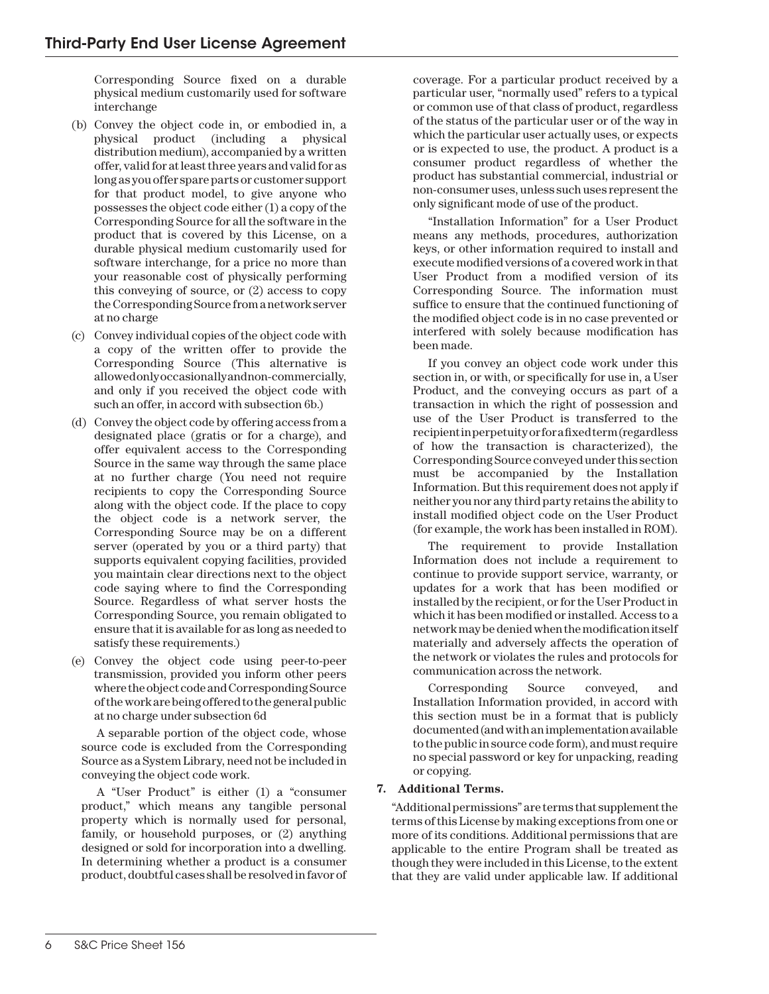Corresponding Source fixed on a durable physical medium customarily used for software interchange

- (b) Convey the object code in, or embodied in, a physical product (including a physical distribution medium), accompanied by a written offer, valid for at least three years and valid for as long as you offer spare parts or customer support for that product model, to give anyone who possesses the object code either (1) a copy of the Corresponding Source for all the software in the product that is covered by this License, on a durable physical medium customarily used for software interchange, for a price no more than your reasonable cost of physically performing this conveying of source, or (2) access to copy the Corresponding Source from a network server at no charge
- (c) Convey individual copies of the object code with a copy of the written offer to provide the Corresponding Source (This alternative is allowed only occasionally and non-commercially, and only if you received the object code with such an offer, in accord with subsection 6b.)
- (d) Convey the object code by offering access from a designated place (gratis or for a charge), and offer equivalent access to the Corresponding Source in the same way through the same place at no further charge (You need not require recipients to copy the Corresponding Source along with the object code. If the place to copy the object code is a network server, the Corresponding Source may be on a different server (operated by you or a third party) that supports equivalent copying facilities, provided you maintain clear directions next to the object code saying where to find the Corresponding Source. Regardless of what server hosts the Corresponding Source, you remain obligated to ensure that it is available for as long as needed to satisfy these requirements.)
- (e) Convey the object code using peer-to-peer transmission, provided you inform other peers where the object code and Corresponding Source of the work are being offered to the general public at no charge under subsection 6d

A separable portion of the object code, whose source code is excluded from the Corresponding Source as a System Library, need not be included in conveying the object code work.

A "User Product" is either (1) a "consumer product," which means any tangible personal property which is normally used for personal, family, or household purposes, or (2) anything designed or sold for incorporation into a dwelling. In determining whether a product is a consumer product, doubtful cases shall be resolved in favor of

coverage. For a particular product received by a particular user, "normally used" refers to a typical or common use of that class of product, regardless of the status of the particular user or of the way in which the particular user actually uses, or expects or is expected to use, the product. A product is a consumer product regardless of whether the product has substantial commercial, industrial or non-consumer uses, unless such uses represent the only signicant mode of use of the product.

"Installation Information" for a User Product means any methods, procedures, authorization keys, or other information required to install and execute modified versions of a covered work in that User Product from a modified version of its Corresponding Source. The information must suffice to ensure that the continued functioning of the modified object code is in no case prevented or interfered with solely because modification has been made.

If you convey an object code work under this section in, or with, or specifically for use in, a User Product, and the conveying occurs as part of a transaction in which the right of possession and use of the User Product is transferred to the recipient in perpetuity or for a fixed term (regardless of how the transaction is characterized), the Corresponding Source conveyed under this section must be accompanied by the Installation Information. But this requirement does not apply if neither you nor any third party retains the ability to install modified object code on the User Product (for example, the work has been installed in ROM).

The requirement to provide Installation Information does not include a requirement to continue to provide support service, warranty, or updates for a work that has been modified or installed by the recipient, or for the User Product in which it has been modified or installed. Access to a network may be denied when the modification itself materially and adversely affects the operation of the network or violates the rules and protocols for communication across the network.

Corresponding Source conveyed, and Installation Information provided, in accord with this section must be in a format that is publicly documented (and with an implementation available to the public in source code form), and must require no special password or key for unpacking, reading or copying.

## **7. Additional Terms.**

"Additional permissions" are terms that supplement the terms of this License by making exceptions from one or more of its conditions. Additional permissions that are applicable to the entire Program shall be treated as though they were included in this License, to the extent that they are valid under applicable law. If additional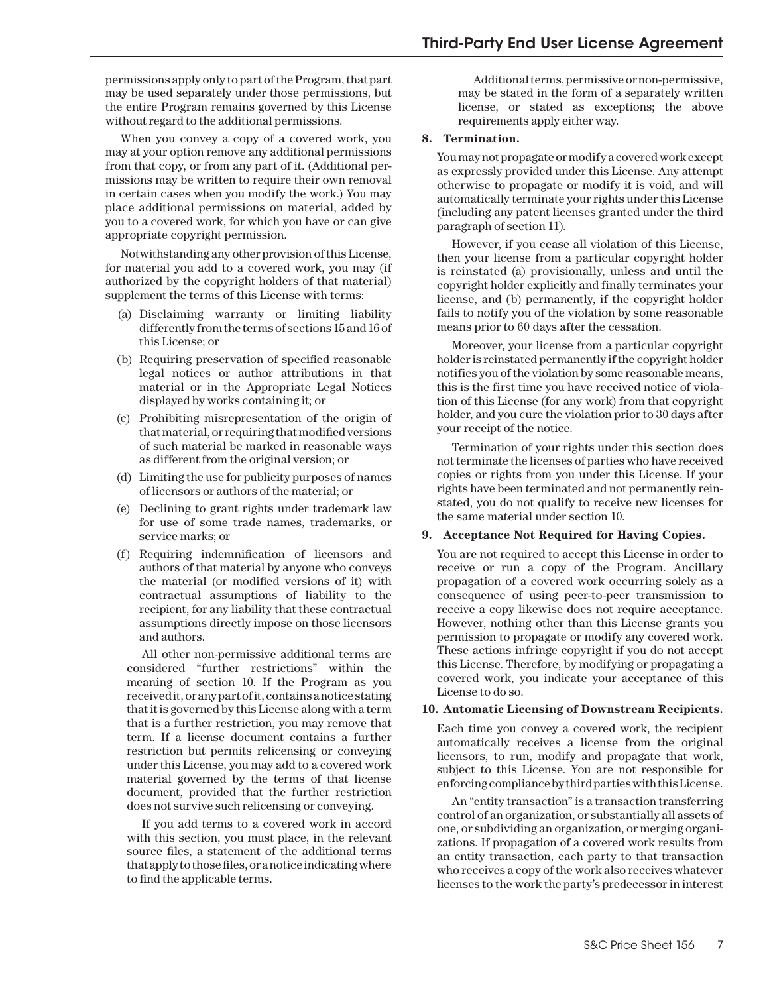permissions apply only to part of the Program, that part may be used separately under those permissions, but the entire Program remains governed by this License without regard to the additional permissions.

When you convey a copy of a covered work, you may at your option remove any additional permissions from that copy, or from any part of it. (Additional permissions may be written to require their own removal in certain cases when you modify the work.) You may place additional permissions on material, added by you to a covered work, for which you have or can give appropriate copyright permission.

Notwithstanding any other provision of this License, for material you add to a covered work, you may (if authorized by the copyright holders of that material) supplement the terms of this License with terms:

- (a) Disclaiming warranty or limiting liability differently from the terms of sections 15 and 16 of this License; or
- (b) Requiring preservation of specified reasonable legal notices or author attributions in that material or in the Appropriate Legal Notices displayed by works containing it; or
- (c) Prohibiting misrepresentation of the origin of that material, or requiring that modified versions of such material be marked in reasonable ways as different from the original version; or
- (d) Limiting the use for publicity purposes of names of licensors or authors of the material; or
- (e) Declining to grant rights under trademark law for use of some trade names, trademarks, or service marks; or
- (f) Requiring indemnication of licensors and authors of that material by anyone who conveys the material (or modified versions of it) with contractual assumptions of liability to the recipient, for any liability that these contractual assumptions directly impose on those licensors and authors.

All other non-permissive additional terms are considered "further restrictions" within the meaning of section 10. If the Program as you received it, or any part of it, contains a notice stating that it is governed by this License along with a term that is a further restriction, you may remove that term. If a license document contains a further restriction but permits relicensing or conveying under this License, you may add to a covered work material governed by the terms of that license document, provided that the further restriction does not survive such relicensing or conveying.

If you add terms to a covered work in accord with this section, you must place, in the relevant source files, a statement of the additional terms that apply to those files, or a notice indicating where to find the applicable terms.

Additional terms, permissive or non-permissive, may be stated in the form of a separately written license, or stated as exceptions; the above requirements apply either way.

#### **8. Termination.**

You may not propagate or modify a covered work except as expressly provided under this License. Any attempt otherwise to propagate or modify it is void, and will automatically terminate your rights under this License (including any patent licenses granted under the third paragraph of section 11).

However, if you cease all violation of this License, then your license from a particular copyright holder is reinstated (a) provisionally, unless and until the copyright holder explicitly and finally terminates your license, and (b) permanently, if the copyright holder fails to notify you of the violation by some reasonable means prior to 60 days after the cessation.

Moreover, your license from a particular copyright holder is reinstated permanently if the copyright holder notifies you of the violation by some reasonable means, this is the first time you have received notice of violation of this License (for any work) from that copyright holder, and you cure the violation prior to 30 days after your receipt of the notice.

Termination of your rights under this section does not terminate the licenses of parties who have received copies or rights from you under this License. If your rights have been terminated and not permanently reinstated, you do not qualify to receive new licenses for the same material under section 10.

#### **9. Acceptance Not Required for Having Copies.**

You are not required to accept this License in order to receive or run a copy of the Program. Ancillary propagation of a covered work occurring solely as a consequence of using peer-to-peer transmission to receive a copy likewise does not require acceptance. However, nothing other than this License grants you permission to propagate or modify any covered work. These actions infringe copyright if you do not accept this License. Therefore, by modifying or propagating a covered work, you indicate your acceptance of this License to do so.

#### **10. Automatic Licensing of Downstream Recipients.**

Each time you convey a covered work, the recipient automatically receives a license from the original licensors, to run, modify and propagate that work, subject to this License. You are not responsible for enforcing compliance by third parties with this License.

An "entity transaction" is a transaction transferring control of an organization, or substantially all assets of one, or subdividing an organization, or merging organizations. If propagation of a covered work results from an entity transaction, each party to that transaction who receives a copy of the work also receives whatever licenses to the work the party's predecessor in interest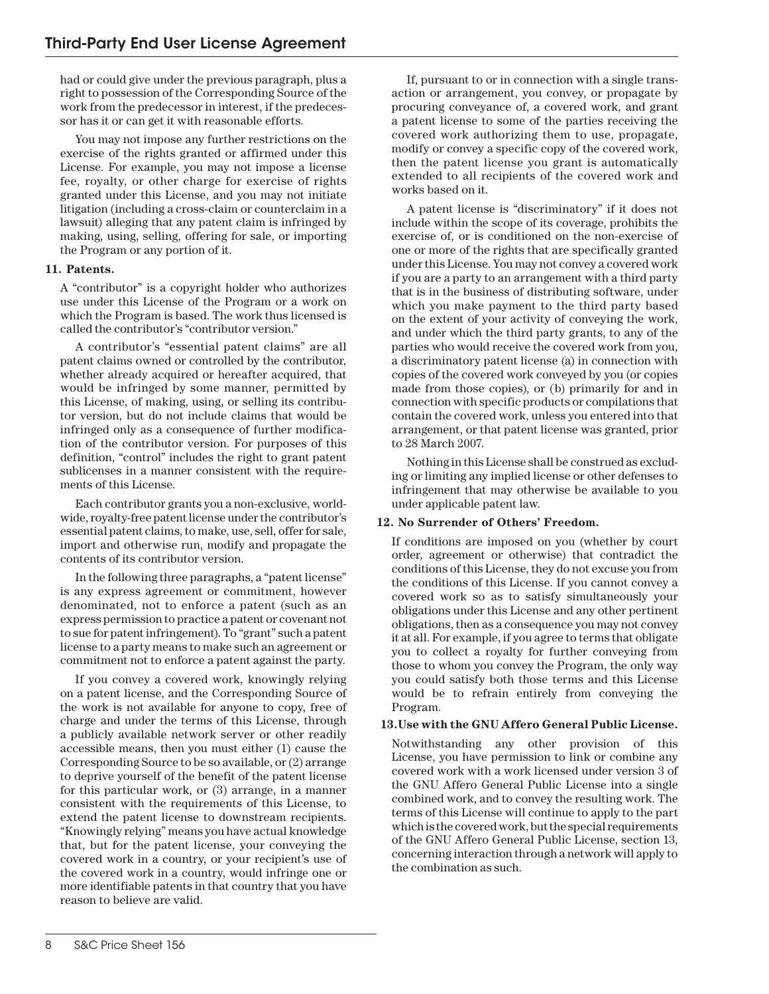had or could give under the previous paragraph, plus a right to possession of the Corresponding Source of the work from the predecessor in interest, if the predecessor has it or can get it with reasonable efforts.

You may not impose any further restrictions on the exercise of the rights granted or affirmed under this License. For example, you may not impose a license fee, royalty, or other charge for exercise of rights granted under this License, and you may not initiate litigation (including a cross-claim or counterclaim in a lawsuit) alleging that any patent claim is infringed by making, using, selling, offering for sale, or importing the Program or any portion of it.

## **11. Patents.**

A "contributor" is a copyright holder who authorizes use under this License of the Program or a work on which the Program is based. The work thus licensed is called the contributor's "contributor version."

A contributor's "essential patent claims" are all patent claims owned or controlled by the contributor, whether already acquired or hereafter acquired, that would be infringed by some manner, permitted by this License, of making, using, or selling its contributor version, but do not include claims that would be infringed only as a consequence of further modification of the contributor version. For purposes of this definition, "control" includes the right to grant patent sublicenses in a manner consistent with the requirements of this License.

Each contributor grants you a non-exclusive, worldwide, royalty-free patent license under the contributor's essential patent claims, to make, use, sell, offer for sale, import and otherwise run, modify and propagate the contents of its contributor version.

In the following three paragraphs, a "patent license" is any express agreement or commitment, however denominated, not to enforce a patent (such as an express permission to practice a patent or covenant not to sue for patent infringement). To "grant" such a patent license to a party means to make such an agreement or commitment not to enforce a patent against the party.

If you convey a covered work, knowingly relying on a patent license, and the Corresponding Source of the work is not available for anyone to copy, free of charge and under the terms of this License, through a publicly available network server or other readily accessible means, then you must either (1) cause the Corresponding Source to be so available, or (2) arrange to deprive yourself of the benefit of the patent license for this particular work, or (3) arrange, in a manner consistent with the requirements of this License, to extend the patent license to downstream recipients. "Knowingly relying" means you have actual knowledge that, but for the patent license, your conveying the covered work in a country, or your recipient's use of the covered work in a country, would infringe one or more identifiable patents in that country that you have reason to believe are valid.

If, pursuant to or in connection with a single transaction or arrangement, you convey, or propagate by procuring conveyance of, a covered work, and grant a patent license to some of the parties receiving the covered work authorizing them to use, propagate, modify or convey a specific copy of the covered work, then the patent license you grant is automatically extended to all recipients of the covered work and works based on it.

A patent license is "discriminatory" if it does not include within the scope of its coverage, prohibits the exercise of, or is conditioned on the non-exercise of one or more of the rights that are specifically granted under this License. You may not convey a covered work if you are a party to an arrangement with a third party that is in the business of distributing software, under which you make payment to the third party based on the extent of your activity of conveying the work, and under which the third party grants, to any of the parties who would receive the covered work from you, a discriminatory patent license (a) in connection with copies of the covered work conveyed by you (or copies made from those copies), or (b) primarily for and in connection with specific products or compilations that contain the covered work, unless you entered into that arrangement, or that patent license was granted, prior to 28 March 2007.

Nothing in this License shall be construed as excluding or limiting any implied license or other defenses to infringement that may otherwise be available to you under applicable patent law.

## **12. No Surrender of Others' Freedom.**

If conditions are imposed on you (whether by court order, agreement or otherwise) that contradict the conditions of this License, they do not excuse you from the conditions of this License. If you cannot convey a covered work so as to satisfy simultaneously your obligations under this License and any other pertinent obligations, then as a consequence you may not convey it at all. For example, if you agree to terms that obligate you to collect a royalty for further conveying from those to whom you convey the Program, the only way you could satisfy both those terms and this License would be to refrain entirely from conveying the Program.

## **13.Use with the GNU Affero General Public License.**

Notwithstanding any other provision of this License, you have permission to link or combine any covered work with a work licensed under version 3 of the GNU Affero General Public License into a single combined work, and to convey the resulting work. The terms of this License will continue to apply to the part which is the covered work, but the special requirements of the GNU Affero General Public License, section 13, concerning interaction through a network will apply to the combination as such.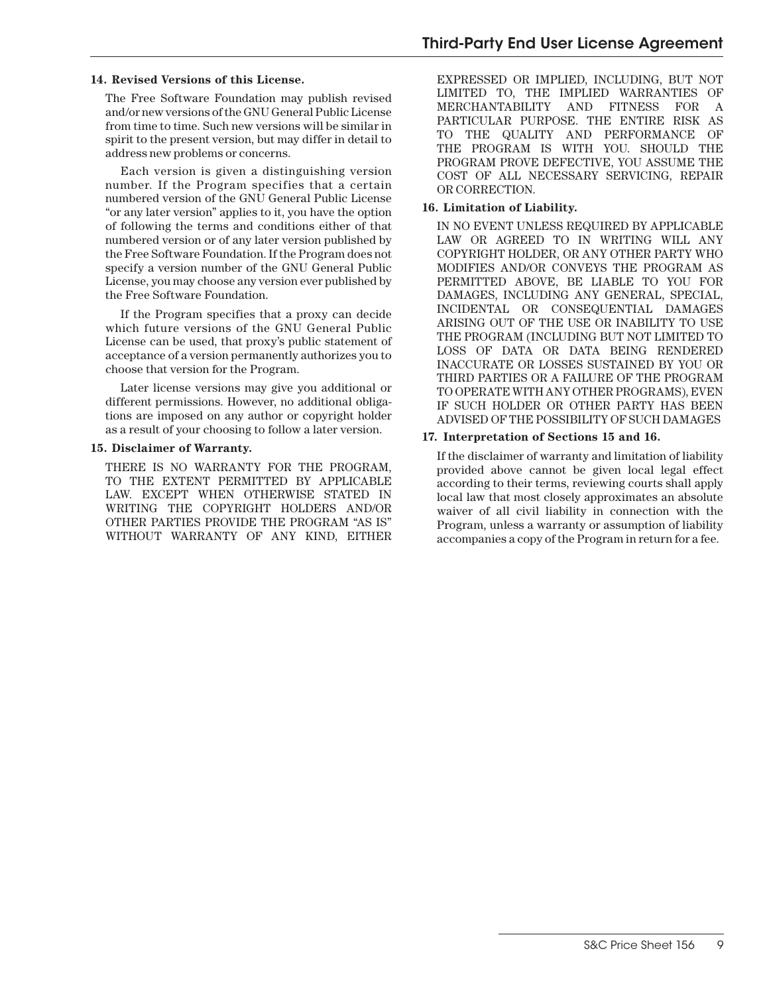#### **14. Revised Versions of this License.**

The Free Software Foundation may publish revised and/or new versions of the GNU General Public License from time to time. Such new versions will be similar in spirit to the present version, but may differ in detail to address new problems or concerns.

Each version is given a distinguishing version number. If the Program specifies that a certain numbered version of the GNU General Public License "or any later version" applies to it, you have the option of following the terms and conditions either of that numbered version or of any later version published by the Free Software Foundation. If the Program does not specify a version number of the GNU General Public License, you may choose any version ever published by the Free Software Foundation.

If the Program specifies that a proxy can decide which future versions of the GNU General Public License can be used, that proxy's public statement of acceptance of a version permanently authorizes you to choose that version for the Program.

Later license versions may give you additional or different permissions. However, no additional obligations are imposed on any author or copyright holder as a result of your choosing to follow a later version.

#### **15. Disclaimer of Warranty.**

THERE IS NO WARRANTY FOR THE PROGRAM, TO THE EXTENT PERMITTED BY APPLICABLE LAW. EXCEPT WHEN OTHERWISE STATED IN WRITING THE COPYRIGHT HOLDERS AND/OR OTHER PARTIES PROVIDE THE PROGRAM "AS IS" WITHOUT WARRANTY OF ANY KIND, EITHER

EXPRESSED OR IMPLIED, INCLUDING, BUT NOT LIMITED TO, THE IMPLIED WARRANTIES OF MERCHANTABILITY AND FITNESS FOR A PARTICULAR PURPOSE. THE ENTIRE RISK AS TO THE QUALITY AND PERFORMANCE OF THE PROGRAM IS WITH YOU. SHOULD THE PROGRAM PROVE DEFECTIVE, YOU ASSUME THE COST OF ALL NECESSARY SERVICING, REPAIR OR CORRECTION.

#### **16. Limitation of Liability.**

IN NO EVENT UNLESS REQUIRED BY APPLICABLE LAW OR AGREED TO IN WRITING WILL ANY COPYRIGHT HOLDER, OR ANY OTHER PARTY WHO MODIFIES AND/OR CONVEYS THE PROGRAM AS PERMITTED ABOVE, BE LIABLE TO YOU FOR DAMAGES, INCLUDING ANY GENERAL, SPECIAL, INCIDENTAL OR CONSEQUENTIAL DAMAGES ARISING OUT OF THE USE OR INABILITY TO USE THE PROGRAM (INCLUDING BUT NOT LIMITED TO LOSS OF DATA OR DATA BEING RENDERED INACCURATE OR LOSSES SUSTAINED BY YOU OR THIRD PARTIES OR A FAILURE OF THE PROGRAM TO OPERATE WITH ANY OTHER PROGRAMS), EVEN IF SUCH HOLDER OR OTHER PARTY HAS BEEN ADVISED OF THE POSSIBILITY OF SUCH DAMAGES

#### **17. Interpretation of Sections 15 and 16.**

If the disclaimer of warranty and limitation of liability provided above cannot be given local legal effect according to their terms, reviewing courts shall apply local law that most closely approximates an absolute waiver of all civil liability in connection with the Program, unless a warranty or assumption of liability accompanies a copy of the Program in return for a fee.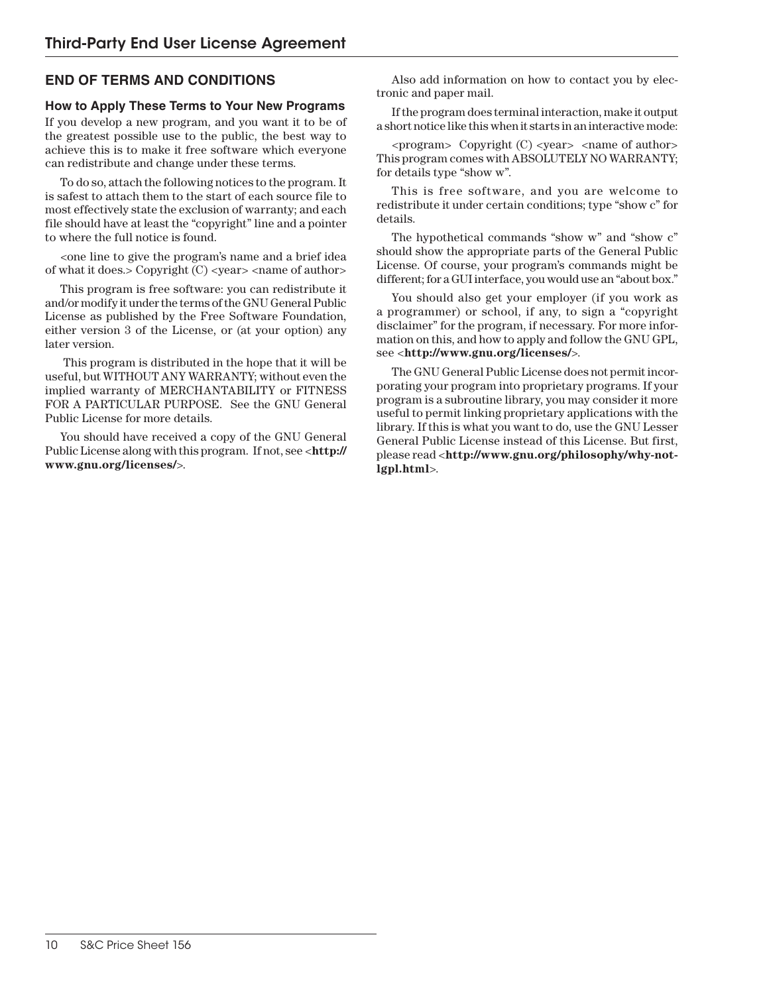# **END OF TERMS AND CONDITIONS**

## **How to Apply These Terms to Your New Programs**

If you develop a new program, and you want it to be of the greatest possible use to the public, the best way to achieve this is to make it free software which everyone can redistribute and change under these terms.

To do so, attach the following notices to the program. It is safest to attach them to the start of each source file to most effectively state the exclusion of warranty; and each file should have at least the "copyright" line and a pointer to where the full notice is found.

<one line to give the program's name and a brief idea of what it does.> Copyright  $(C)$  <year> <name of author>

This program is free software: you can redistribute it and/or modify it under the terms of the GNU General Public License as published by the Free Software Foundation, either version 3 of the License, or (at your option) any later version.

 This program is distributed in the hope that it will be useful, but WITHOUT ANY WARRANTY; without even the implied warranty of MERCHANTABILITY or FITNESS FOR A PARTICULAR PURPOSE. See the GNU General Public License for more details.

You should have received a copy of the GNU General Public License along with this program. If not, see <**http:// www.gnu.org/licenses/**>.

Also add information on how to contact you by electronic and paper mail.

If the program does terminal interaction, make it output a short notice like this when it starts in an interactive mode:

<program> Copyright (C) <year> <name of author> This program comes with ABSOLUTELY NO WARRANTY; for details type "show w".

This is free software, and you are welcome to redistribute it under certain conditions; type "show c" for details.

The hypothetical commands "show w" and "show c" should show the appropriate parts of the General Public License. Of course, your program's commands might be different; for a GUI interface, you would use an "about box."

You should also get your employer (if you work as a programmer) or school, if any, to sign a "copyright disclaimer" for the program, if necessary. For more information on this, and how to apply and follow the GNU GPL, see <**http://www.gnu.org/licenses/**>.

The GNU General Public License does not permit incorporating your program into proprietary programs. If your program is a subroutine library, you may consider it more useful to permit linking proprietary applications with the library. If this is what you want to do, use the GNU Lesser General Public License instead of this License. But first, please read <**http://www.gnu.org/philosophy/why-notlgpl.html**>.